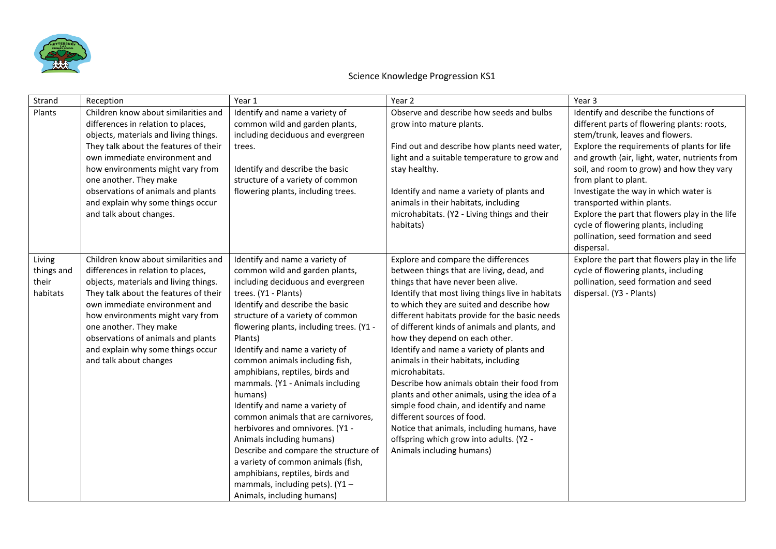

| Strand                                    | Reception                                                                                                                                                                                                                                                                                                                                                         | Year 1                                                                                                                                                                                                                                                                                                                                                                                                                                                                                                                                                                                                                                                                                                                                        | Year 2                                                                                                                                                                                                                                                                                                                                                                                                                                                                                                                                                                                                                                                                                                                                                                | Year 3                                                                                                                                                                                                                                                                                                                                                                                                                                                                                                               |
|-------------------------------------------|-------------------------------------------------------------------------------------------------------------------------------------------------------------------------------------------------------------------------------------------------------------------------------------------------------------------------------------------------------------------|-----------------------------------------------------------------------------------------------------------------------------------------------------------------------------------------------------------------------------------------------------------------------------------------------------------------------------------------------------------------------------------------------------------------------------------------------------------------------------------------------------------------------------------------------------------------------------------------------------------------------------------------------------------------------------------------------------------------------------------------------|-----------------------------------------------------------------------------------------------------------------------------------------------------------------------------------------------------------------------------------------------------------------------------------------------------------------------------------------------------------------------------------------------------------------------------------------------------------------------------------------------------------------------------------------------------------------------------------------------------------------------------------------------------------------------------------------------------------------------------------------------------------------------|----------------------------------------------------------------------------------------------------------------------------------------------------------------------------------------------------------------------------------------------------------------------------------------------------------------------------------------------------------------------------------------------------------------------------------------------------------------------------------------------------------------------|
| Plants                                    | Children know about similarities and<br>differences in relation to places,<br>objects, materials and living things.<br>They talk about the features of their<br>own immediate environment and<br>how environments might vary from<br>one another. They make<br>observations of animals and plants<br>and explain why some things occur<br>and talk about changes. | Identify and name a variety of<br>common wild and garden plants,<br>including deciduous and evergreen<br>trees.<br>Identify and describe the basic<br>structure of a variety of common<br>flowering plants, including trees.                                                                                                                                                                                                                                                                                                                                                                                                                                                                                                                  | Observe and describe how seeds and bulbs<br>grow into mature plants.<br>Find out and describe how plants need water,<br>light and a suitable temperature to grow and<br>stay healthy.<br>Identify and name a variety of plants and<br>animals in their habitats, including<br>microhabitats. (Y2 - Living things and their<br>habitats)                                                                                                                                                                                                                                                                                                                                                                                                                               | Identify and describe the functions of<br>different parts of flowering plants: roots,<br>stem/trunk, leaves and flowers.<br>Explore the requirements of plants for life<br>and growth (air, light, water, nutrients from<br>soil, and room to grow) and how they vary<br>from plant to plant.<br>Investigate the way in which water is<br>transported within plants.<br>Explore the part that flowers play in the life<br>cycle of flowering plants, including<br>pollination, seed formation and seed<br>dispersal. |
| Living<br>things and<br>their<br>habitats | Children know about similarities and<br>differences in relation to places,<br>objects, materials and living things.<br>They talk about the features of their<br>own immediate environment and<br>how environments might vary from<br>one another. They make<br>observations of animals and plants<br>and explain why some things occur<br>and talk about changes  | Identify and name a variety of<br>common wild and garden plants,<br>including deciduous and evergreen<br>trees. (Y1 - Plants)<br>Identify and describe the basic<br>structure of a variety of common<br>flowering plants, including trees. (Y1 -<br>Plants)<br>Identify and name a variety of<br>common animals including fish,<br>amphibians, reptiles, birds and<br>mammals. (Y1 - Animals including<br>humans)<br>Identify and name a variety of<br>common animals that are carnivores,<br>herbivores and omnivores. (Y1 -<br>Animals including humans)<br>Describe and compare the structure of<br>a variety of common animals (fish,<br>amphibians, reptiles, birds and<br>mammals, including pets). (Y1 -<br>Animals, including humans) | Explore and compare the differences<br>between things that are living, dead, and<br>things that have never been alive.<br>Identify that most living things live in habitats<br>to which they are suited and describe how<br>different habitats provide for the basic needs<br>of different kinds of animals and plants, and<br>how they depend on each other.<br>Identify and name a variety of plants and<br>animals in their habitats, including<br>microhabitats.<br>Describe how animals obtain their food from<br>plants and other animals, using the idea of a<br>simple food chain, and identify and name<br>different sources of food.<br>Notice that animals, including humans, have<br>offspring which grow into adults. (Y2 -<br>Animals including humans) | Explore the part that flowers play in the life<br>cycle of flowering plants, including<br>pollination, seed formation and seed<br>dispersal. (Y3 - Plants)                                                                                                                                                                                                                                                                                                                                                           |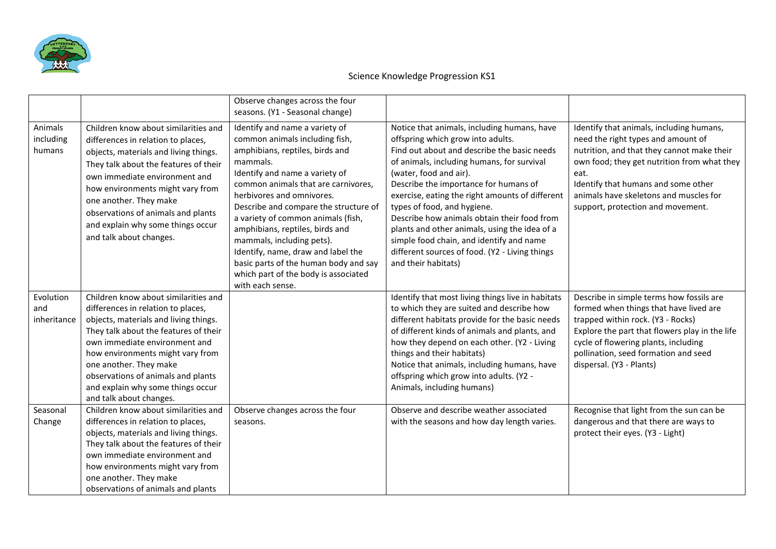

|                                 |                                                                                                                                                                                                                                                                                                                                                                   | Observe changes across the four<br>seasons. (Y1 - Seasonal change)                                                                                                                                                                                                                                                                                                                                                                                                                                              |                                                                                                                                                                                                                                                                                                                                                                                                                                                                                                                                                         |                                                                                                                                                                                                                                                                                                           |
|---------------------------------|-------------------------------------------------------------------------------------------------------------------------------------------------------------------------------------------------------------------------------------------------------------------------------------------------------------------------------------------------------------------|-----------------------------------------------------------------------------------------------------------------------------------------------------------------------------------------------------------------------------------------------------------------------------------------------------------------------------------------------------------------------------------------------------------------------------------------------------------------------------------------------------------------|---------------------------------------------------------------------------------------------------------------------------------------------------------------------------------------------------------------------------------------------------------------------------------------------------------------------------------------------------------------------------------------------------------------------------------------------------------------------------------------------------------------------------------------------------------|-----------------------------------------------------------------------------------------------------------------------------------------------------------------------------------------------------------------------------------------------------------------------------------------------------------|
| Animals<br>including<br>humans  | Children know about similarities and<br>differences in relation to places,<br>objects, materials and living things.<br>They talk about the features of their<br>own immediate environment and<br>how environments might vary from<br>one another. They make<br>observations of animals and plants<br>and explain why some things occur<br>and talk about changes. | Identify and name a variety of<br>common animals including fish,<br>amphibians, reptiles, birds and<br>mammals.<br>Identify and name a variety of<br>common animals that are carnivores,<br>herbivores and omnivores.<br>Describe and compare the structure of<br>a variety of common animals (fish,<br>amphibians, reptiles, birds and<br>mammals, including pets).<br>Identify, name, draw and label the<br>basic parts of the human body and say<br>which part of the body is associated<br>with each sense. | Notice that animals, including humans, have<br>offspring which grow into adults.<br>Find out about and describe the basic needs<br>of animals, including humans, for survival<br>(water, food and air).<br>Describe the importance for humans of<br>exercise, eating the right amounts of different<br>types of food, and hygiene.<br>Describe how animals obtain their food from<br>plants and other animals, using the idea of a<br>simple food chain, and identify and name<br>different sources of food. (Y2 - Living things<br>and their habitats) | Identify that animals, including humans,<br>need the right types and amount of<br>nutrition, and that they cannot make their<br>own food; they get nutrition from what they<br>eat.<br>Identify that humans and some other<br>animals have skeletons and muscles for<br>support, protection and movement. |
| Evolution<br>and<br>inheritance | Children know about similarities and<br>differences in relation to places,<br>objects, materials and living things.<br>They talk about the features of their<br>own immediate environment and<br>how environments might vary from<br>one another. They make<br>observations of animals and plants<br>and explain why some things occur<br>and talk about changes. |                                                                                                                                                                                                                                                                                                                                                                                                                                                                                                                 | Identify that most living things live in habitats<br>to which they are suited and describe how<br>different habitats provide for the basic needs<br>of different kinds of animals and plants, and<br>how they depend on each other. (Y2 - Living<br>things and their habitats)<br>Notice that animals, including humans, have<br>offspring which grow into adults. (Y2 -<br>Animals, including humans)                                                                                                                                                  | Describe in simple terms how fossils are<br>formed when things that have lived are<br>trapped within rock. (Y3 - Rocks)<br>Explore the part that flowers play in the life<br>cycle of flowering plants, including<br>pollination, seed formation and seed<br>dispersal. (Y3 - Plants)                     |
| Seasonal<br>Change              | Children know about similarities and<br>differences in relation to places,<br>objects, materials and living things.<br>They talk about the features of their<br>own immediate environment and<br>how environments might vary from<br>one another. They make<br>observations of animals and plants                                                                 | Observe changes across the four<br>seasons.                                                                                                                                                                                                                                                                                                                                                                                                                                                                     | Observe and describe weather associated<br>with the seasons and how day length varies.                                                                                                                                                                                                                                                                                                                                                                                                                                                                  | Recognise that light from the sun can be<br>dangerous and that there are ways to<br>protect their eyes. (Y3 - Light)                                                                                                                                                                                      |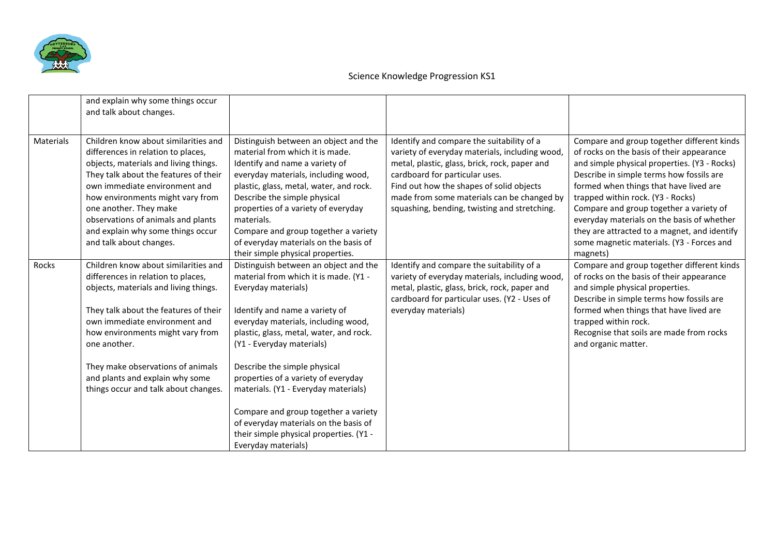

|                  | and explain why some things occur<br>and talk about changes.                                                                                                                                                                                                                                                                                                      |                                                                                                                                                                                                                                                                                                                                                                                                                                                                                                                          |                                                                                                                                                                                                                                                                                                                          |                                                                                                                                                                                                                                                                                                                                                                                                                                                                      |
|------------------|-------------------------------------------------------------------------------------------------------------------------------------------------------------------------------------------------------------------------------------------------------------------------------------------------------------------------------------------------------------------|--------------------------------------------------------------------------------------------------------------------------------------------------------------------------------------------------------------------------------------------------------------------------------------------------------------------------------------------------------------------------------------------------------------------------------------------------------------------------------------------------------------------------|--------------------------------------------------------------------------------------------------------------------------------------------------------------------------------------------------------------------------------------------------------------------------------------------------------------------------|----------------------------------------------------------------------------------------------------------------------------------------------------------------------------------------------------------------------------------------------------------------------------------------------------------------------------------------------------------------------------------------------------------------------------------------------------------------------|
| <b>Materials</b> | Children know about similarities and<br>differences in relation to places,<br>objects, materials and living things.<br>They talk about the features of their<br>own immediate environment and<br>how environments might vary from<br>one another. They make<br>observations of animals and plants<br>and explain why some things occur<br>and talk about changes. | Distinguish between an object and the<br>material from which it is made.<br>Identify and name a variety of<br>everyday materials, including wood,<br>plastic, glass, metal, water, and rock.<br>Describe the simple physical<br>properties of a variety of everyday<br>materials.<br>Compare and group together a variety<br>of everyday materials on the basis of<br>their simple physical properties.                                                                                                                  | Identify and compare the suitability of a<br>variety of everyday materials, including wood,<br>metal, plastic, glass, brick, rock, paper and<br>cardboard for particular uses.<br>Find out how the shapes of solid objects<br>made from some materials can be changed by<br>squashing, bending, twisting and stretching. | Compare and group together different kinds<br>of rocks on the basis of their appearance<br>and simple physical properties. (Y3 - Rocks)<br>Describe in simple terms how fossils are<br>formed when things that have lived are<br>trapped within rock. (Y3 - Rocks)<br>Compare and group together a variety of<br>everyday materials on the basis of whether<br>they are attracted to a magnet, and identify<br>some magnetic materials. (Y3 - Forces and<br>magnets) |
| Rocks            | Children know about similarities and<br>differences in relation to places,<br>objects, materials and living things.<br>They talk about the features of their<br>own immediate environment and<br>how environments might vary from<br>one another.<br>They make observations of animals<br>and plants and explain why some<br>things occur and talk about changes. | Distinguish between an object and the<br>material from which it is made. (Y1 -<br>Everyday materials)<br>Identify and name a variety of<br>everyday materials, including wood,<br>plastic, glass, metal, water, and rock.<br>(Y1 - Everyday materials)<br>Describe the simple physical<br>properties of a variety of everyday<br>materials. (Y1 - Everyday materials)<br>Compare and group together a variety<br>of everyday materials on the basis of<br>their simple physical properties. (Y1 -<br>Everyday materials) | Identify and compare the suitability of a<br>variety of everyday materials, including wood,<br>metal, plastic, glass, brick, rock, paper and<br>cardboard for particular uses. (Y2 - Uses of<br>everyday materials)                                                                                                      | Compare and group together different kinds<br>of rocks on the basis of their appearance<br>and simple physical properties.<br>Describe in simple terms how fossils are<br>formed when things that have lived are<br>trapped within rock.<br>Recognise that soils are made from rocks<br>and organic matter.                                                                                                                                                          |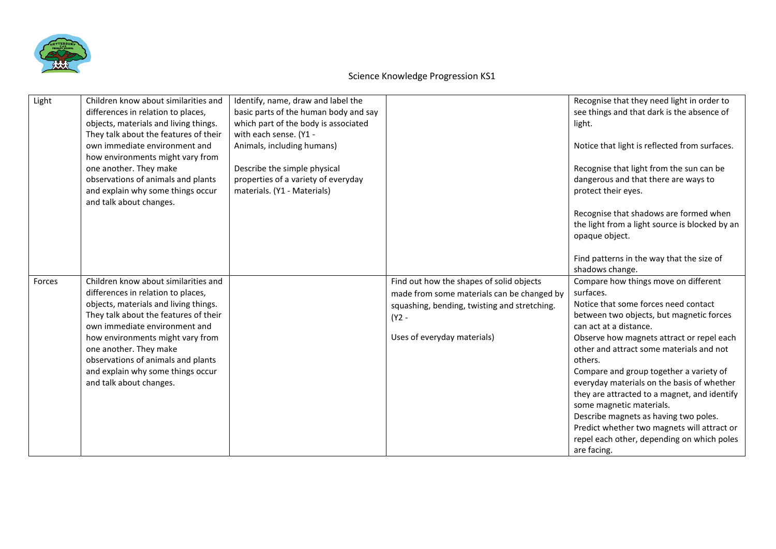

| Light  | Children know about similarities and<br>differences in relation to places,<br>objects, materials and living things.<br>They talk about the features of their<br>own immediate environment and<br>how environments might vary from<br>one another. They make<br>observations of animals and plants<br>and explain why some things occur                            | Identify, name, draw and label the<br>basic parts of the human body and say<br>which part of the body is associated<br>with each sense. (Y1 -<br>Animals, including humans)<br>Describe the simple physical<br>properties of a variety of everyday<br>materials. (Y1 - Materials) |                                                                                                                                                                                | Recognise that they need light in order to<br>see things and that dark is the absence of<br>light.<br>Notice that light is reflected from surfaces.<br>Recognise that light from the sun can be<br>dangerous and that there are ways to<br>protect their eyes.                                                                                                                                                                                                                                                                                                                                                   |
|--------|-------------------------------------------------------------------------------------------------------------------------------------------------------------------------------------------------------------------------------------------------------------------------------------------------------------------------------------------------------------------|-----------------------------------------------------------------------------------------------------------------------------------------------------------------------------------------------------------------------------------------------------------------------------------|--------------------------------------------------------------------------------------------------------------------------------------------------------------------------------|------------------------------------------------------------------------------------------------------------------------------------------------------------------------------------------------------------------------------------------------------------------------------------------------------------------------------------------------------------------------------------------------------------------------------------------------------------------------------------------------------------------------------------------------------------------------------------------------------------------|
|        | and talk about changes.                                                                                                                                                                                                                                                                                                                                           |                                                                                                                                                                                                                                                                                   |                                                                                                                                                                                | Recognise that shadows are formed when<br>the light from a light source is blocked by an<br>opaque object.<br>Find patterns in the way that the size of                                                                                                                                                                                                                                                                                                                                                                                                                                                          |
| Forces | Children know about similarities and<br>differences in relation to places,<br>objects, materials and living things.<br>They talk about the features of their<br>own immediate environment and<br>how environments might vary from<br>one another. They make<br>observations of animals and plants<br>and explain why some things occur<br>and talk about changes. |                                                                                                                                                                                                                                                                                   | Find out how the shapes of solid objects<br>made from some materials can be changed by<br>squashing, bending, twisting and stretching.<br>(Y2 -<br>Uses of everyday materials) | shadows change.<br>Compare how things move on different<br>surfaces.<br>Notice that some forces need contact<br>between two objects, but magnetic forces<br>can act at a distance.<br>Observe how magnets attract or repel each<br>other and attract some materials and not<br>others.<br>Compare and group together a variety of<br>everyday materials on the basis of whether<br>they are attracted to a magnet, and identify<br>some magnetic materials.<br>Describe magnets as having two poles.<br>Predict whether two magnets will attract or<br>repel each other, depending on which poles<br>are facing. |